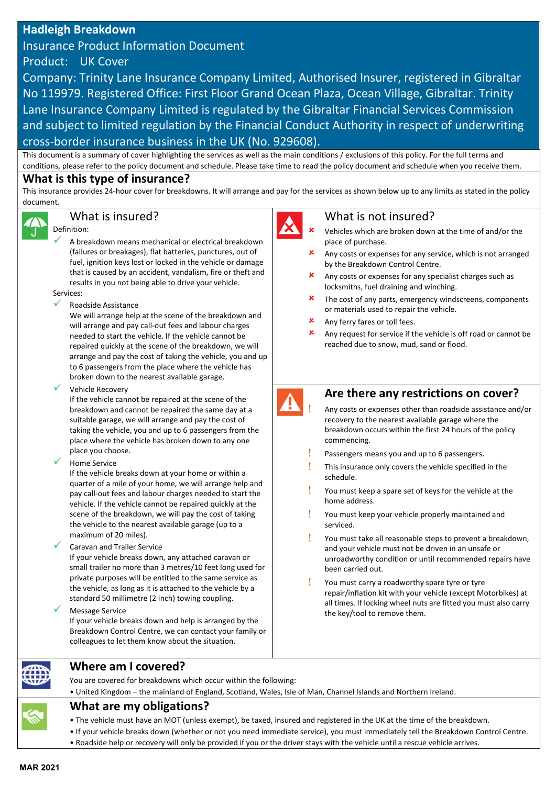# Hadleigh Breakdown

Insurance Product Information Document Product: UK Cover

Company: Trinity Lane Insurance Company Limited, Authorised Insurer, registered in Gibraltar No 119979. Registered Office: First Floor Grand Ocean Plaza, Ocean Village, Gibraltar. Trinity Lane Insurance Company Limited is regulated by the Gibraltar Financial Services Commission and subject to limited regulation by the Financial Conduct Authority in respect of underwriting cross-border insurance business in the UK (No. 929608).

This document is a summary of cover highlighting the services as well as the main conditions / exclusions of this policy. For the full terms and conditions, please refer to the policy document and schedule. Please take time to read the policy document and schedule when you receive them.

### What is this type of insurance?

This insurance provides 24-hour cover for breakdowns. It will arrange and pay for the services as shown below up to any limits as stated in the policy document.



## What is insured?

#### Definition:

 A breakdown means mechanical or electrical breakdown (failures or breakages), flat batteries, punctures, out of fuel, ignition keys lost or locked in the vehicle or damage that is caused by an accident, vandalism, fire or theft and results in you not being able to drive your vehicle.

Services:

Roadside Assistance

We will arrange help at the scene of the breakdown and will arrange and pay call-out fees and labour charges needed to start the vehicle. If the vehicle cannot be repaired quickly at the scene of the breakdown, we will arrange and pay the cost of taking the vehicle, you and up to 6 passengers from the place where the vehicle has broken down to the nearest available garage.

Vehicle Recovery

If the vehicle cannot be repaired at the scene of the breakdown and cannot be repaired the same day at a suitable garage, we will arrange and pay the cost of taking the vehicle, you and up to 6 passengers from the place where the vehicle has broken down to any one place you choose.

Home Service

If the vehicle breaks down at your home or within a quarter of a mile of your home, we will arrange help and pay call-out fees and labour charges needed to start the vehicle. If the vehicle cannot be repaired quickly at the scene of the breakdown, we will pay the cost of taking the vehicle to the nearest available garage (up to a maximum of 20 miles).

#### Caravan and Trailer Service

If your vehicle breaks down, any attached caravan or small trailer no more than 3 metres/10 feet long used for private purposes will be entitled to the same service as the vehicle, as long as it is attached to the vehicle by a standard 50 millimetre (2 inch) towing coupling.

#### Message Service

If your vehicle breaks down and help is arranged by the Breakdown Control Centre, we can contact your family or colleagues to let them know about the situation.

### What is not insured?

- Vehicles which are broken down at the time of and/or the place of purchase.
- Any costs or expenses for any service, which is not arranged by the Breakdown Control Centre.
- Any costs or expenses for any specialist charges such as locksmiths, fuel draining and winching.
- The cost of any parts, emergency windscreens, components or materials used to repair the vehicle.
- Any ferry fares or toll fees.
- Any request for service if the vehicle is off road or cannot be reached due to snow, mud, sand or flood.



### Are there any restrictions on cover?

- Any costs or expenses other than roadside assistance and/or recovery to the nearest available garage where the breakdown occurs within the first 24 hours of the policy commencing.
- Passengers means you and up to 6 passengers.
- $\mathbf{l}$  This insurance only covers the vehicle specified in the schedule.
- You must keep a spare set of keys for the vehicle at the home address.
- You must keep your vehicle properly maintained and serviced.
- You must take all reasonable steps to prevent a breakdown, and your vehicle must not be driven in an unsafe or unroadworthy condition or until recommended repairs have been carried out.
- **V** You must carry a roadworthy spare tyre or tyre repair/inflation kit with your vehicle (except Motorbikes) at all times. If locking wheel nuts are fitted you must also carry the key/tool to remove them.



You are covered for breakdowns which occur within the following:

• United Kingdom – the mainland of England, Scotland, Wales, Isle of Man, Channel Islands and Northern Ireland.

# What are my obligations?

- The vehicle must have an MOT (unless exempt), be taxed, insured and registered in the UK at the time of the breakdown.
- If your vehicle breaks down (whether or not you need immediate service), you must immediately tell the Breakdown Control Centre.
- Roadside help or recovery will only be provided if you or the driver stays with the vehicle until a rescue vehicle arrives.